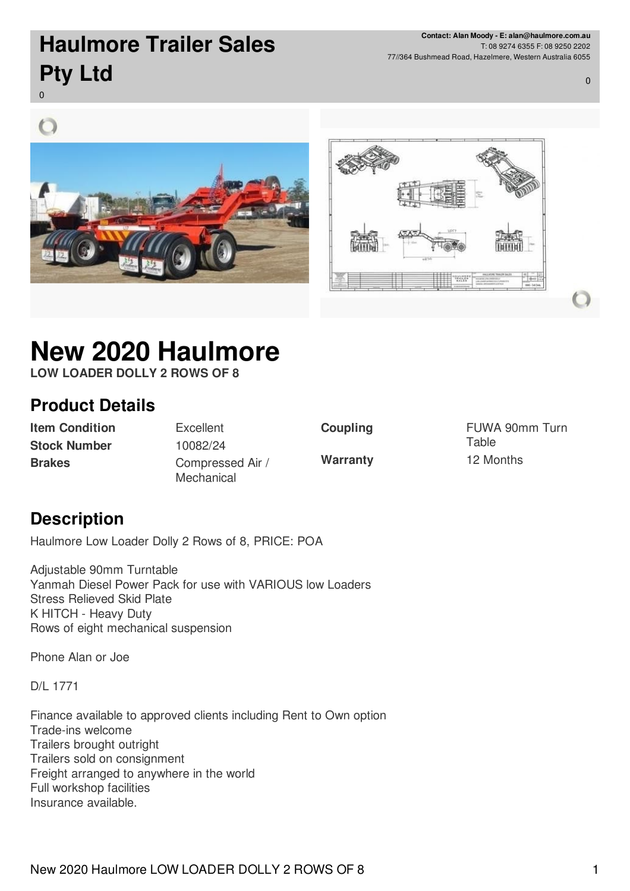**Contact: Alan Moody - E: alan@haulmore.com.au** T: 08 9274 6355 F: 08 9250 2202 77//364 Bushmead Road, Hazelmere, Western Australia 6055

0

## **Haulmore Trailer Sales Pty Ltd**

0





# **New 2020 Haulmore**

**LOW LOADER DOLLY 2 ROWS OF 8**

#### **Product Details**

**Item Condition** Excellent **Stock Number** 10082/24

**Brakes** Compressed Air / **Mechanical** 

**Coupling** FUWA 90mm Turn **Table Warranty** 12 Months

#### **Description**

Haulmore Low Loader Dolly 2 Rows of 8, PRICE: POA

Adjustable 90mm Turntable Yanmah Diesel Power Pack for use with VARIOUS low Loaders Stress Relieved Skid Plate K HITCH - Heavy Duty Rows of eight mechanical suspension

Phone Alan or Joe

D/L 1771

Finance available to approved clients including Rent to Own option Trade-ins welcome Trailers brought outright Trailers sold on consignment Freight arranged to anywhere in the world Full workshop facilities Insurance available.